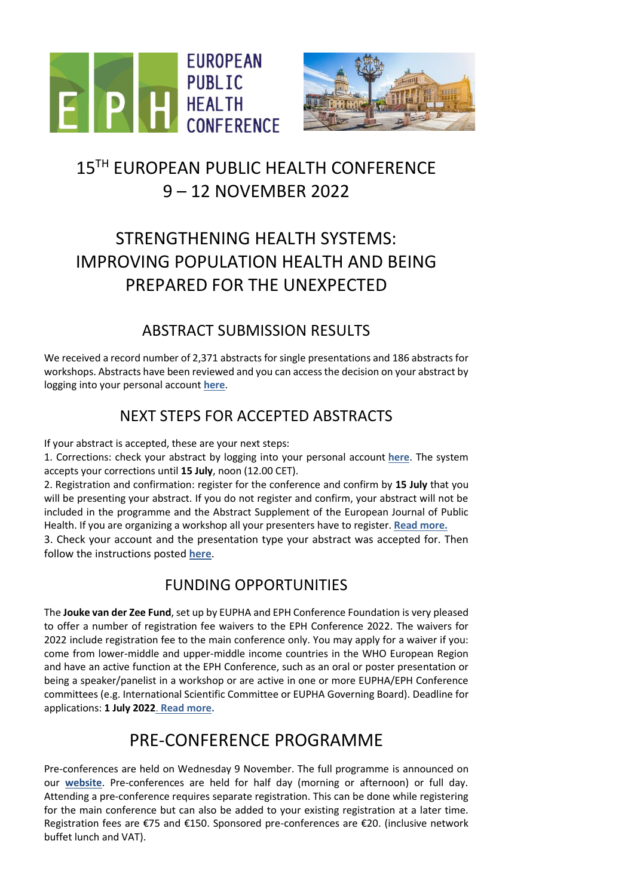



# 15<sup>TH</sup> EUROPEAN PUBLIC HEALTH CONFERENCE 9 – 12 NOVEMBER 2022

# STRENGTHENING HEALTH SYSTEMS: IMPROVING POPULATION HEALTH AND BEING PREPARED FOR THE UNEXPECTED

#### ABSTRACT SUBMISSION RESULTS

We received a record number of 2,371 abstracts for single presentations and 186 abstracts for workshops. Abstracts have been reviewed and you can access the decision on your abstract by logging into your personal account **[here](https://ephconference.eu/cgi-files/mem_db.cgi)**.

### NEXT STEPS FOR ACCEPTED ABSTRACTS

If your abstract is accepted, these are your next steps:

1. Corrections: check your abstract by logging into your personal account **[here](https://eupha.org/cgi-files/mem_db.cgi)**. The system accepts your corrections until **15 July**, noon (12.00 CET).

2. Registration and confirmation: register for the conference and confirm by **15 July** that you will be presenting your abstract. If you do not register and confirm, your abstract will not be included in the programme and the Abstract Supplement of the European Journal of Public Health. If you are organizing a workshop all your presenters have to register. **[Read more.](https://ephconference.eu/abstract-decisions-112)**

3. Check your account and the presentation type your abstract was accepted for. Then follow the instructions posted **[here](https://ephconference.eu/presenter-instructions-113)**.

#### FUNDING OPPORTUNITIES

The **Jouke van der Zee Fund**, set up by EUPHA and EPH Conference Foundation is very pleased to offer a number of registration fee waivers to the EPH Conference 2022. The waivers for 2022 include registration fee to the main conference only. You may apply for a waiver if you: come from lower-middle and upper-middle income countries in the WHO European Region and have an active function at the EPH Conference, such as an oral or poster presentation or being a speaker/panelist in a workshop or are active in one or more EUPHA/EPH Conference committees (e.g. International Scientific Committee or EUPHA Governing Board). Deadline for applications: **1 July 2022**. **[Read more.](https://ephconference.eu/funding-for-presenters-231)**

## PRE-CONFERENCE PROGRAMME

Pre-conferences are held on Wednesday 9 November. The full programme is announced on our **[website](https://ephconference.eu/pre-conference-programme-422)**. Pre-conferences are held for half day (morning or afternoon) or full day. Attending a pre-conference requires separate registration. This can be done while registering for the main conference but can also be added to your existing registration at a later time. Registration fees are €75 and €150. Sponsored pre-conferences are €20. (inclusive network buffet lunch and VAT).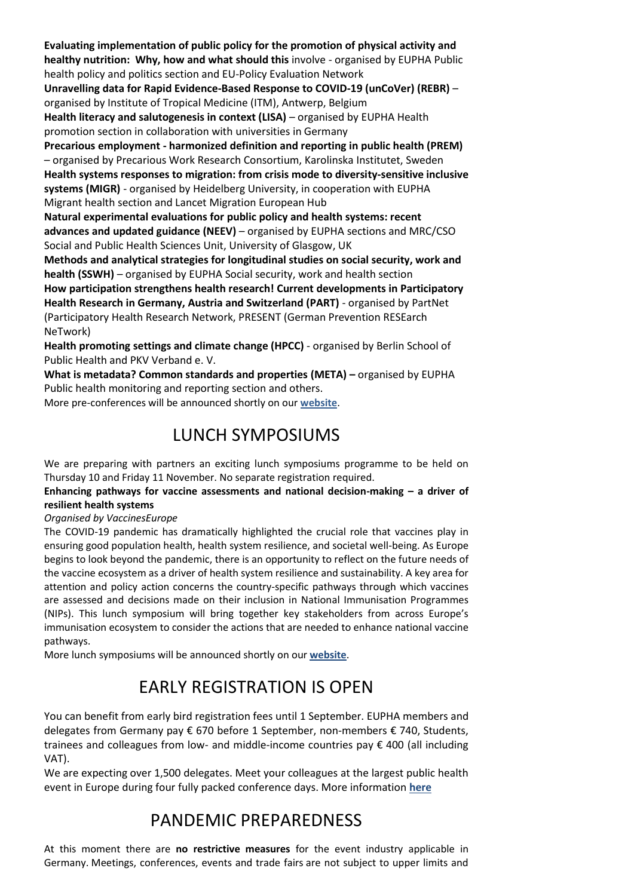**Evaluating implementation of public policy for the promotion of physical activity and healthy nutrition: Why, how and what should this** involve - organised by EUPHA Public health policy and politics section and EU-Policy Evaluation Network **Unravelling data for Rapid Evidence-Based Response to COVID-19 (unCoVer) (REBR)** – organised by Institute of Tropical Medicine (ITM), Antwerp, Belgium **Health literacy and salutogenesis in context (LISA)** – organised by EUPHA Health promotion section in collaboration with universities in Germany **Precarious employment - harmonized definition and reporting in public health (PREM)** – organised by Precarious Work Research Consortium, Karolinska Institutet, Sweden **Health systems responses to migration: from crisis mode to diversity-sensitive inclusive systems (MIGR)** - organised by Heidelberg University, in cooperation with EUPHA Migrant health section and Lancet Migration European Hub **Natural experimental evaluations for public policy and health systems: recent advances and updated guidance (NEEV)** – organised by EUPHA sections and MRC/CSO Social and Public Health Sciences Unit, University of Glasgow, UK **Methods and analytical strategies for longitudinal studies on social security, work and health (SSWH)** – organised by EUPHA Social security, work and health section **How participation strengthens health research! Current developments in Participatory Health Research in Germany, Austria and Switzerland (PART)** - organised by PartNet (Participatory Health Research Network, PRESENT (German Prevention RESEarch NeTwork)

**Health promoting settings and climate change (HPCC)** - organised by Berlin School of Public Health and PKV Verband e. V.

**What is metadata? Common standards and properties (META) –** organised by EUPHA Public health monitoring and reporting section and others.

More pre-conferences will be announced shortly on our **[website](https://ephconference.eu/pre-conference-programme-422)**.

## LUNCH SYMPOSIUMS

We are preparing with partners an exciting lunch symposiums programme to be held on Thursday 10 and Friday 11 November. No separate registration required.

**Enhancing pathways for vaccine assessments and national decision-making – a driver of resilient health systems**

*Organised by VaccinesEurope*

The COVID-19 pandemic has dramatically highlighted the crucial role that vaccines play in ensuring good population health, health system resilience, and societal well-being. As Europe begins to look beyond the pandemic, there is an opportunity to reflect on the future needs of the vaccine ecosystem as a driver of health system resilience and sustainability. A key area for attention and policy action concerns the country-specific pathways through which vaccines are assessed and decisions made on their inclusion in National Immunisation Programmes (NIPs). This lunch symposium will bring together key stakeholders from across Europe's immunisation ecosystem to consider the actions that are needed to enhance national vaccine pathways.

More lunch symposiums will be announced shortly on our **[website](https://ephconference.eu/index.php)**.

## EARLY REGISTRATION IS OPEN

You can benefit from early bird registration fees until 1 September. EUPHA members and delegates from Germany pay € 670 before 1 September, non-members € 740, Students, trainees and colleagues from low- and middle-income countries pay € 400 (all including VAT).

We are expecting over 1,500 delegates. Meet your colleagues at the largest public health event in Europe during four fully packed conference days. More information **[here](https://ephconference.eu/registration-fees-and-information-420)**

## PANDEMIC PREPAREDNESS

At this moment there are **no restrictive measures** for the event industry applicable in Germany. Meetings, conferences, events and trade fairs are not subject to upper limits and